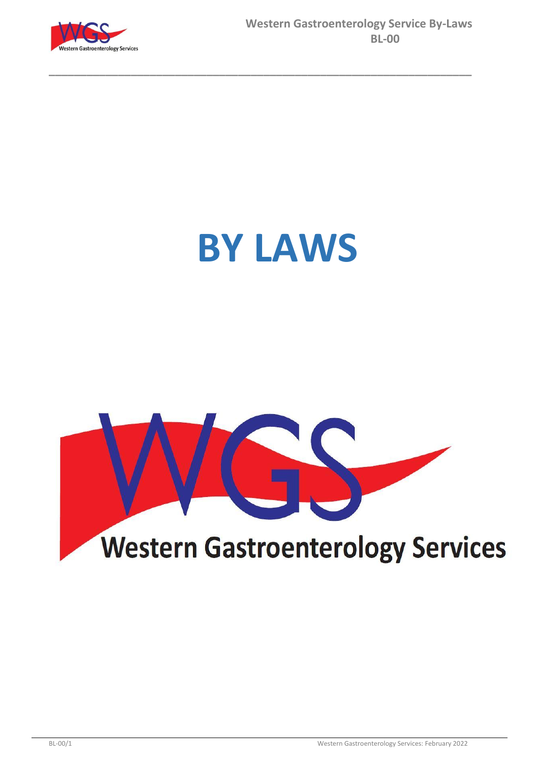

# **BY LAWS**

**\_\_\_\_\_\_\_\_\_\_\_\_\_\_\_\_\_\_\_\_\_\_\_\_\_\_\_\_\_\_\_\_\_\_\_\_\_\_\_\_\_\_\_\_\_\_\_\_\_\_\_\_\_\_\_\_\_\_\_\_\_\_\_\_\_\_\_**

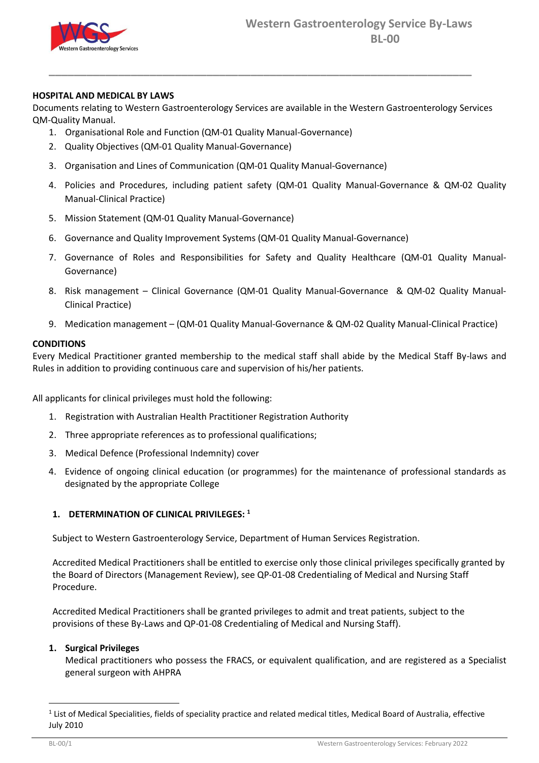

# **HOSPITAL AND MEDICAL BY LAWS**

Documents relating to Western Gastroenterology Services are available in the Western Gastroenterology Services QM-Quality Manual.

**\_\_\_\_\_\_\_\_\_\_\_\_\_\_\_\_\_\_\_\_\_\_\_\_\_\_\_\_\_\_\_\_\_\_\_\_\_\_\_\_\_\_\_\_\_\_\_\_\_\_\_\_\_\_\_\_\_\_\_\_\_\_\_\_\_\_\_**

- 1. Organisational Role and Function (QM-01 Quality Manual-Governance)
- 2. Quality Objectives (QM-01 Quality Manual-Governance)
- 3. Organisation and Lines of Communication (QM-01 Quality Manual-Governance)
- 4. Policies and Procedures, including patient safety (QM-01 Quality Manual-Governance & QM-02 Quality Manual-Clinical Practice)
- 5. Mission Statement (QM-01 Quality Manual-Governance)
- 6. Governance and Quality Improvement Systems (QM-01 Quality Manual-Governance)
- 7. Governance of Roles and Responsibilities for Safety and Quality Healthcare (QM-01 Quality Manual-Governance)
- 8. Risk management Clinical Governance (QM-01 Quality Manual-Governance & QM-02 Quality Manual-Clinical Practice)
- 9. Medication management (QM-01 Quality Manual-Governance & QM-02 Quality Manual-Clinical Practice)

# **CONDITIONS**

Every Medical Practitioner granted membership to the medical staff shall abide by the Medical Staff By-laws and Rules in addition to providing continuous care and supervision of his/her patients.

All applicants for clinical privileges must hold the following:

- 1. Registration with Australian Health Practitioner Registration Authority
- 2. Three appropriate references as to professional qualifications;
- 3. Medical Defence (Professional Indemnity) cover
- 4. Evidence of ongoing clinical education (or programmes) for the maintenance of professional standards as designated by the appropriate College

# **1. DETERMINATION OF CLINICAL PRIVILEGES: <sup>1</sup>**

Subject to Western Gastroenterology Service, Department of Human Services Registration.

Accredited Medical Practitioners shall be entitled to exercise only those clinical privileges specifically granted by the Board of Directors (Management Review), see QP-01-08 Credentialing of Medical and Nursing Staff Procedure.

Accredited Medical Practitioners shall be granted privileges to admit and treat patients, subject to the provisions of these By-Laws and QP-01-08 Credentialing of Medical and Nursing Staff).

# **1. Surgical Privileges**

Medical practitioners who possess the FRACS, or equivalent qualification, and are registered as a Specialist general surgeon with AHPRA

 $\overline{a}$ 

 $1$  List of Medical Specialities, fields of speciality practice and related medical titles, Medical Board of Australia, effective July 2010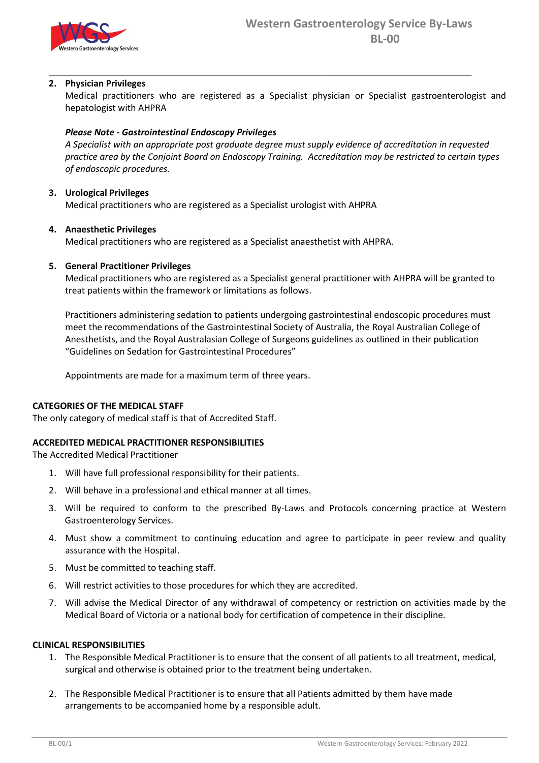

# **2. Physician Privileges**

Medical practitioners who are registered as a Specialist physician or Specialist gastroenterologist and hepatologist with AHPRA

**\_\_\_\_\_\_\_\_\_\_\_\_\_\_\_\_\_\_\_\_\_\_\_\_\_\_\_\_\_\_\_\_\_\_\_\_\_\_\_\_\_\_\_\_\_\_\_\_\_\_\_\_\_\_\_\_\_\_\_\_\_\_\_\_\_\_\_**

# *Please Note - Gastrointestinal Endoscopy Privileges*

*A Specialist with an appropriate post graduate degree must supply evidence of accreditation in requested practice area by the Conjoint Board on Endoscopy Training. Accreditation may be restricted to certain types of endoscopic procedures.*

# **3. Urological Privileges**

Medical practitioners who are registered as a Specialist urologist with AHPRA

# **4. Anaesthetic Privileges**

Medical practitioners who are registered as a Specialist anaesthetist with AHPRA.

# **5. General Practitioner Privileges**

Medical practitioners who are registered as a Specialist general practitioner with AHPRA will be granted to treat patients within the framework or limitations as follows.

Practitioners administering sedation to patients undergoing gastrointestinal endoscopic procedures must meet the recommendations of the Gastrointestinal Society of Australia, the Royal Australian College of Anesthetists, and the Royal Australasian College of Surgeons guidelines as outlined in their publication "Guidelines on Sedation for Gastrointestinal Procedures"

Appointments are made for a maximum term of three years.

# **CATEGORIES OF THE MEDICAL STAFF**

The only category of medical staff is that of Accredited Staff.

# **ACCREDITED MEDICAL PRACTITIONER RESPONSIBILITIES**

The Accredited Medical Practitioner

- 1. Will have full professional responsibility for their patients.
- 2. Will behave in a professional and ethical manner at all times.
- 3. Will be required to conform to the prescribed By-Laws and Protocols concerning practice at Western Gastroenterology Services.
- 4. Must show a commitment to continuing education and agree to participate in peer review and quality assurance with the Hospital.
- 5. Must be committed to teaching staff.
- 6. Will restrict activities to those procedures for which they are accredited.
- 7. Will advise the Medical Director of any withdrawal of competency or restriction on activities made by the Medical Board of Victoria or a national body for certification of competence in their discipline.

# **CLINICAL RESPONSIBILITIES**

- 1. The Responsible Medical Practitioner is to ensure that the consent of all patients to all treatment, medical, surgical and otherwise is obtained prior to the treatment being undertaken.
- 2. The Responsible Medical Practitioner is to ensure that all Patients admitted by them have made arrangements to be accompanied home by a responsible adult.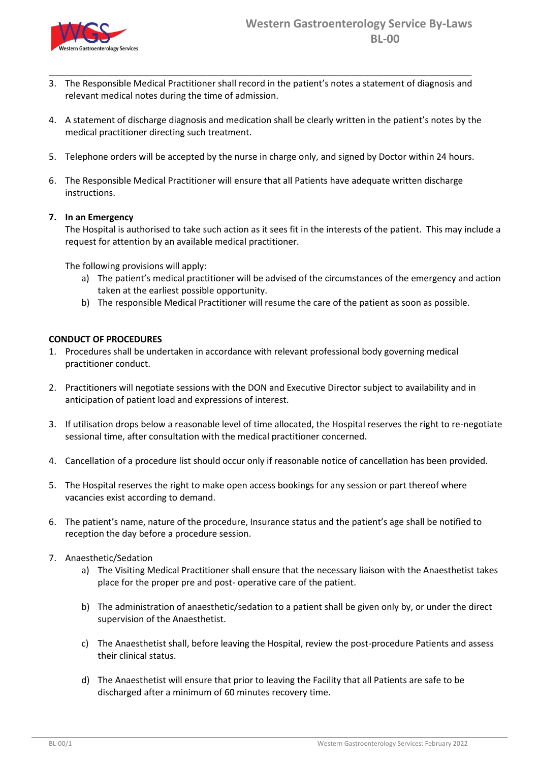

3. The Responsible Medical Practitioner shall record in the patient's notes a statement of diagnosis and relevant medical notes during the time of admission.

**\_\_\_\_\_\_\_\_\_\_\_\_\_\_\_\_\_\_\_\_\_\_\_\_\_\_\_\_\_\_\_\_\_\_\_\_\_\_\_\_\_\_\_\_\_\_\_\_\_\_\_\_\_\_\_\_\_\_\_\_\_\_\_\_\_\_\_**

- 4. A statement of discharge diagnosis and medication shall be clearly written in the patient's notes by the medical practitioner directing such treatment.
- 5. Telephone orders will be accepted by the nurse in charge only, and signed by Doctor within 24 hours.
- 6. The Responsible Medical Practitioner will ensure that all Patients have adequate written discharge instructions.

# **7. In an Emergency**

The Hospital is authorised to take such action as it sees fit in the interests of the patient. This may include a request for attention by an available medical practitioner.

The following provisions will apply:

- a) The patient's medical practitioner will be advised of the circumstances of the emergency and action taken at the earliest possible opportunity.
- b) The responsible Medical Practitioner will resume the care of the patient as soon as possible.

# **CONDUCT OF PROCEDURES**

- 1. Procedures shall be undertaken in accordance with relevant professional body governing medical practitioner conduct.
- 2. Practitioners will negotiate sessions with the DON and Executive Director subject to availability and in anticipation of patient load and expressions of interest.
- 3. If utilisation drops below a reasonable level of time allocated, the Hospital reserves the right to re-negotiate sessional time, after consultation with the medical practitioner concerned.
- 4. Cancellation of a procedure list should occur only if reasonable notice of cancellation has been provided.
- 5. The Hospital reserves the right to make open access bookings for any session or part thereof where vacancies exist according to demand.
- 6. The patient's name, nature of the procedure, Insurance status and the patient's age shall be notified to reception the day before a procedure session.
- 7. Anaesthetic/Sedation
	- a) The Visiting Medical Practitioner shall ensure that the necessary liaison with the Anaesthetist takes place for the proper pre and post- operative care of the patient.
	- b) The administration of anaesthetic/sedation to a patient shall be given only by, or under the direct supervision of the Anaesthetist.
	- c) The Anaesthetist shall, before leaving the Hospital, review the post-procedure Patients and assess their clinical status.
	- d) The Anaesthetist will ensure that prior to leaving the Facility that all Patients are safe to be discharged after a minimum of 60 minutes recovery time.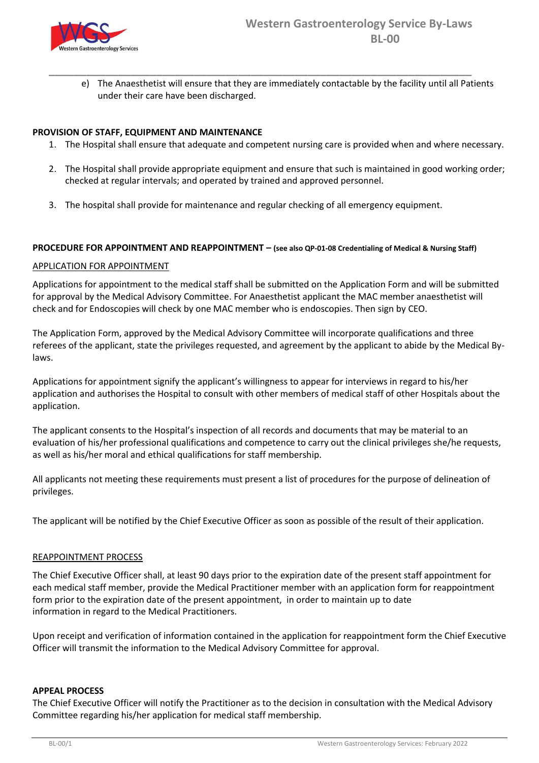

e) The Anaesthetist will ensure that they are immediately contactable by the facility until all Patients under their care have been discharged.

# **PROVISION OF STAFF, EQUIPMENT AND MAINTENANCE**

1. The Hospital shall ensure that adequate and competent nursing care is provided when and where necessary.

**\_\_\_\_\_\_\_\_\_\_\_\_\_\_\_\_\_\_\_\_\_\_\_\_\_\_\_\_\_\_\_\_\_\_\_\_\_\_\_\_\_\_\_\_\_\_\_\_\_\_\_\_\_\_\_\_\_\_\_\_\_\_\_\_\_\_\_**

- 2. The Hospital shall provide appropriate equipment and ensure that such is maintained in good working order; checked at regular intervals; and operated by trained and approved personnel.
- 3. The hospital shall provide for maintenance and regular checking of all emergency equipment.

## **PROCEDURE FOR APPOINTMENT AND REAPPOINTMENT – (see also QP-01-08 Credentialing of Medical & Nursing Staff)**

## APPLICATION FOR APPOINTMENT

Applications for appointment to the medical staff shall be submitted on the Application Form and will be submitted for approval by the Medical Advisory Committee. For Anaesthetist applicant the MAC member anaesthetist will check and for Endoscopies will check by one MAC member who is endoscopies. Then sign by CEO.

The Application Form, approved by the Medical Advisory Committee will incorporate qualifications and three referees of the applicant, state the privileges requested, and agreement by the applicant to abide by the Medical Bylaws.

Applications for appointment signify the applicant's willingness to appear for interviews in regard to his/her application and authorises the Hospital to consult with other members of medical staff of other Hospitals about the application.

The applicant consents to the Hospital's inspection of all records and documents that may be material to an evaluation of his/her professional qualifications and competence to carry out the clinical privileges she/he requests, as well as his/her moral and ethical qualifications for staff membership.

All applicants not meeting these requirements must present a list of procedures for the purpose of delineation of privileges.

The applicant will be notified by the Chief Executive Officer as soon as possible of the result of their application.

# REAPPOINTMENT PROCESS

The Chief Executive Officer shall, at least 90 days prior to the expiration date of the present staff appointment for each medical staff member, provide the Medical Practitioner member with an application form for reappointment form prior to the expiration date of the present appointment, in order to maintain up to date information in regard to the Medical Practitioners.

Upon receipt and verification of information contained in the application for reappointment form the Chief Executive Officer will transmit the information to the Medical Advisory Committee for approval.

#### **APPEAL PROCESS**

The Chief Executive Officer will notify the Practitioner as to the decision in consultation with the Medical Advisory Committee regarding his/her application for medical staff membership.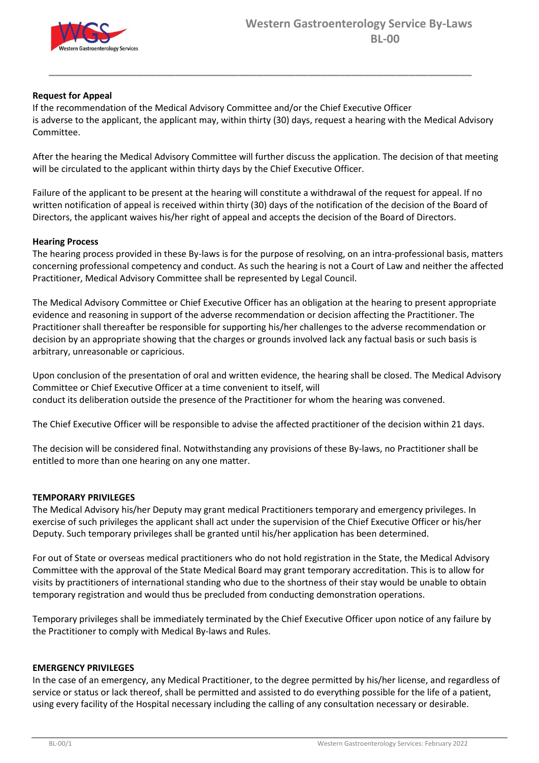

# **Request for Appeal**

If the recommendation of the Medical Advisory Committee and/or the Chief Executive Officer is adverse to the applicant, the applicant may, within thirty (30) days, request a hearing with the Medical Advisory Committee.

**\_\_\_\_\_\_\_\_\_\_\_\_\_\_\_\_\_\_\_\_\_\_\_\_\_\_\_\_\_\_\_\_\_\_\_\_\_\_\_\_\_\_\_\_\_\_\_\_\_\_\_\_\_\_\_\_\_\_\_\_\_\_\_\_\_\_\_**

After the hearing the Medical Advisory Committee will further discuss the application. The decision of that meeting will be circulated to the applicant within thirty days by the Chief Executive Officer.

Failure of the applicant to be present at the hearing will constitute a withdrawal of the request for appeal. If no written notification of appeal is received within thirty (30) days of the notification of the decision of the Board of Directors, the applicant waives his/her right of appeal and accepts the decision of the Board of Directors.

# **Hearing Process**

The hearing process provided in these By-laws is for the purpose of resolving, on an intra-professional basis, matters concerning professional competency and conduct. As such the hearing is not a Court of Law and neither the affected Practitioner, Medical Advisory Committee shall be represented by Legal Council.

The Medical Advisory Committee or Chief Executive Officer has an obligation at the hearing to present appropriate evidence and reasoning in support of the adverse recommendation or decision affecting the Practitioner. The Practitioner shall thereafter be responsible for supporting his/her challenges to the adverse recommendation or decision by an appropriate showing that the charges or grounds involved lack any factual basis or such basis is arbitrary, unreasonable or capricious.

Upon conclusion of the presentation of oral and written evidence, the hearing shall be closed. The Medical Advisory Committee or Chief Executive Officer at a time convenient to itself, will conduct its deliberation outside the presence of the Practitioner for whom the hearing was convened.

The Chief Executive Officer will be responsible to advise the affected practitioner of the decision within 21 days.

The decision will be considered final. Notwithstanding any provisions of these By-laws, no Practitioner shall be entitled to more than one hearing on any one matter.

# **TEMPORARY PRIVILEGES**

The Medical Advisory his/her Deputy may grant medical Practitioners temporary and emergency privileges. In exercise of such privileges the applicant shall act under the supervision of the Chief Executive Officer or his/her Deputy. Such temporary privileges shall be granted until his/her application has been determined.

For out of State or overseas medical practitioners who do not hold registration in the State, the Medical Advisory Committee with the approval of the State Medical Board may grant temporary accreditation. This is to allow for visits by practitioners of international standing who due to the shortness of their stay would be unable to obtain temporary registration and would thus be precluded from conducting demonstration operations.

Temporary privileges shall be immediately terminated by the Chief Executive Officer upon notice of any failure by the Practitioner to comply with Medical By-laws and Rules.

# **EMERGENCY PRIVILEGES**

In the case of an emergency, any Medical Practitioner, to the degree permitted by his/her license, and regardless of service or status or lack thereof, shall be permitted and assisted to do everything possible for the life of a patient, using every facility of the Hospital necessary including the calling of any consultation necessary or desirable.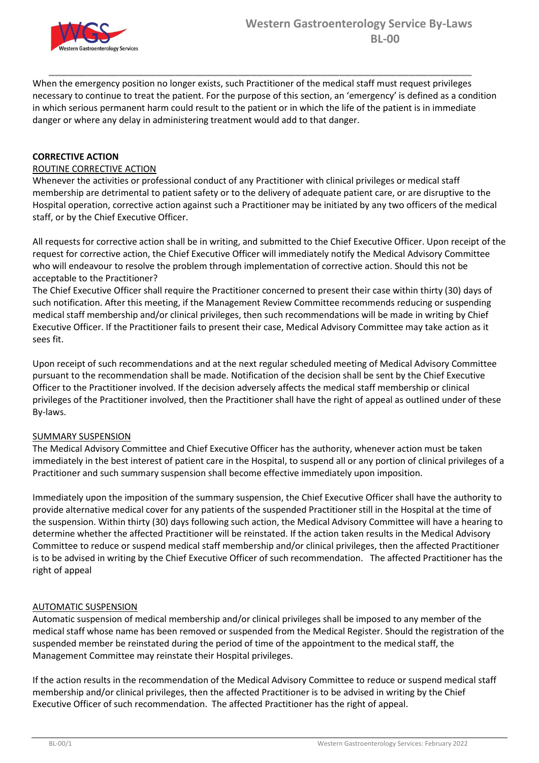

When the emergency position no longer exists, such Practitioner of the medical staff must request privileges necessary to continue to treat the patient. For the purpose of this section, an 'emergency' is defined as a condition in which serious permanent harm could result to the patient or in which the life of the patient is in immediate danger or where any delay in administering treatment would add to that danger.

**\_\_\_\_\_\_\_\_\_\_\_\_\_\_\_\_\_\_\_\_\_\_\_\_\_\_\_\_\_\_\_\_\_\_\_\_\_\_\_\_\_\_\_\_\_\_\_\_\_\_\_\_\_\_\_\_\_\_\_\_\_\_\_\_\_\_\_**

# **CORRECTIVE ACTION**

# ROUTINE CORRECTIVE ACTION

Whenever the activities or professional conduct of any Practitioner with clinical privileges or medical staff membership are detrimental to patient safety or to the delivery of adequate patient care, or are disruptive to the Hospital operation, corrective action against such a Practitioner may be initiated by any two officers of the medical staff, or by the Chief Executive Officer.

All requests for corrective action shall be in writing, and submitted to the Chief Executive Officer. Upon receipt of the request for corrective action, the Chief Executive Officer will immediately notify the Medical Advisory Committee who will endeavour to resolve the problem through implementation of corrective action. Should this not be acceptable to the Practitioner?

The Chief Executive Officer shall require the Practitioner concerned to present their case within thirty (30) days of such notification. After this meeting, if the Management Review Committee recommends reducing or suspending medical staff membership and/or clinical privileges, then such recommendations will be made in writing by Chief Executive Officer. If the Practitioner fails to present their case, Medical Advisory Committee may take action as it sees fit.

Upon receipt of such recommendations and at the next regular scheduled meeting of Medical Advisory Committee pursuant to the recommendation shall be made. Notification of the decision shall be sent by the Chief Executive Officer to the Practitioner involved. If the decision adversely affects the medical staff membership or clinical privileges of the Practitioner involved, then the Practitioner shall have the right of appeal as outlined under of these By-laws.

# SUMMARY SUSPENSION

The Medical Advisory Committee and Chief Executive Officer has the authority, whenever action must be taken immediately in the best interest of patient care in the Hospital, to suspend all or any portion of clinical privileges of a Practitioner and such summary suspension shall become effective immediately upon imposition.

Immediately upon the imposition of the summary suspension, the Chief Executive Officer shall have the authority to provide alternative medical cover for any patients of the suspended Practitioner still in the Hospital at the time of the suspension. Within thirty (30) days following such action, the Medical Advisory Committee will have a hearing to determine whether the affected Practitioner will be reinstated. If the action taken results in the Medical Advisory Committee to reduce or suspend medical staff membership and/or clinical privileges, then the affected Practitioner is to be advised in writing by the Chief Executive Officer of such recommendation. The affected Practitioner has the right of appeal

# AUTOMATIC SUSPENSION

Automatic suspension of medical membership and/or clinical privileges shall be imposed to any member of the medical staff whose name has been removed or suspended from the Medical Register. Should the registration of the suspended member be reinstated during the period of time of the appointment to the medical staff, the Management Committee may reinstate their Hospital privileges.

If the action results in the recommendation of the Medical Advisory Committee to reduce or suspend medical staff membership and/or clinical privileges, then the affected Practitioner is to be advised in writing by the Chief Executive Officer of such recommendation. The affected Practitioner has the right of appeal.